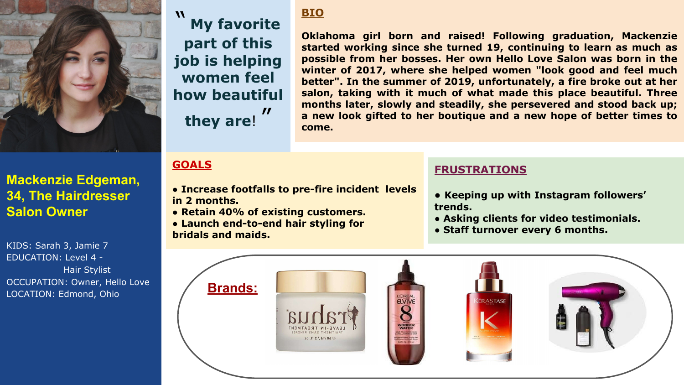

# **Mackenzie Edgeman, 34, The Hairdresser Salon Owner**

KIDS: Sarah 3, Jamie 7 EDUCATION: Level 4 - Hair Stylist OCCUPATION: Owner, Hello Love LOCATION: Edmond, Ohio

#### **BIO**

**My favorite part of this job is helping women feel how beautiful they are**!  $\boldsymbol{\mathit{II}}$ 

**Oklahoma girl born and raised! Following graduation, Mackenzie started working since she turned 19, continuing to learn as much as possible from her bosses. Her own Hello Love Salon was born in the winter of 2017, where she helped women "look good and feel much better". In the summer of 2019, unfortunately, a fire broke out at her salon, taking with it much of what made this place beautiful. Three months later, slowly and steadily, she persevered and stood back up; a new look gifted to her boutique and a new hope of better times to come.**

# **GOALS**

- ● **Increase footfalls to pre-fire incident levels in 2 months.**
- **Retain 40% of existing customers.**
- **Launch end-to-end hair styling for bridals and maids.**

## **FRUSTRATIONS**

- **Keeping up with Instagram followers' trends.**
- **Asking clients for video testimonials.**
- **Staff turnover every 6 months.**